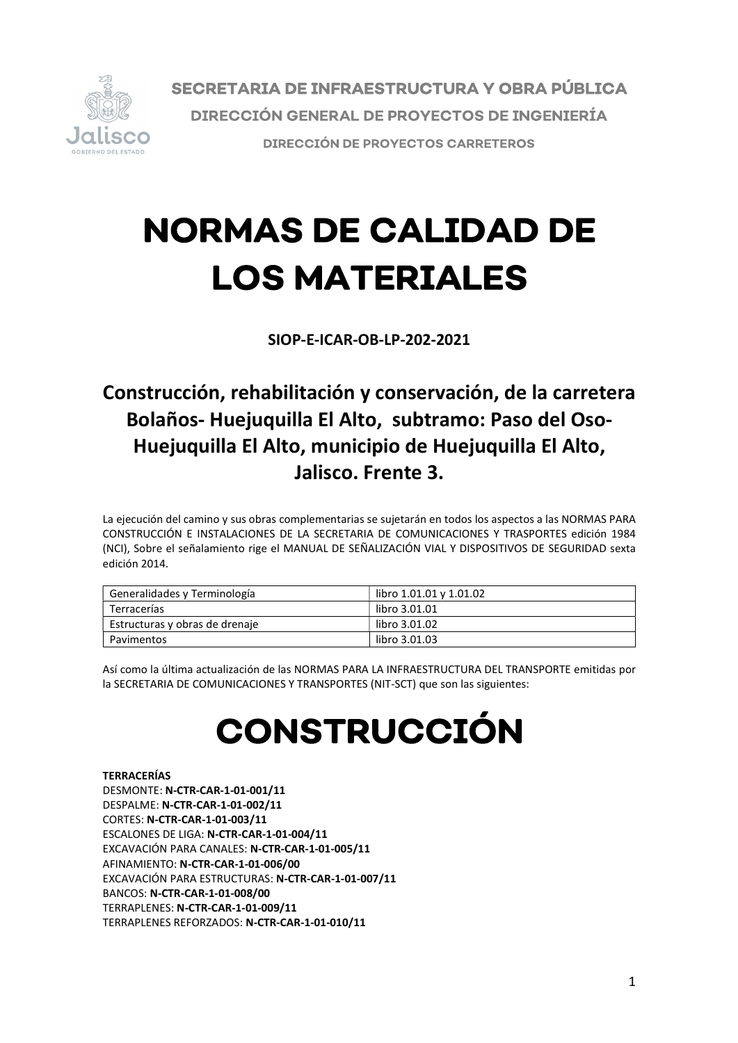

SECRETARIA DE INFRAESTRUCTURA Y OBRA PÚBLICA **DIRECCIÓN GENERAL DE PROYECTOS DE INGENIERÍA DIRECCIÓN DE PROYECTOS CARRETEROS** 

# **NORMAS DE CALIDAD DE LOS MATERIALES**

SIOP-E-ICAR-OB-LP-202-2021

# Construcción, rehabilitación y conservación, de la carretera Bolaños- Huejuquilla El Alto, subtramo: Paso del Oso-Huejuquilla El Alto, municipio de Huejuquilla El Alto, Jalisco. Frente 3.

La ejecución del camino y sus obras complementarias se sujetarán en todos los aspectos a las NORMAS PARA CONSTRUCCIÓN E INSTALACIONES DE LA SECRETARIA DE COMUNICACIONES Y TRASPORTES edición 1984 (NCI), Sobre el señalamiento rige el MANUAL DE SEÑALIZACIÓN VIAL Y DISPOSITIVOS DE SEGURIDAD sexta edición 2014.

| Generalidades y Terminología   | libro 1.01.01 y 1.01.02 |
|--------------------------------|-------------------------|
| Terracerías                    | libro 3.01.01           |
| Estructuras y obras de drenaje | libro 3.01.02           |
| Pavimentos                     | libro 3.01.03           |

Así como la última actualización de las NORMAS PARA LA INFRAESTRUCTURA DEL TRANSPORTE emitidas por la SECRETARIA DE COMUNICACIONES Y TRANSPORTES (NIT-SCT) que son las siguientes:

# **CONSTRUCCIÓN**

# TERRACERÍAS

DESMONTE: N-CTR-CAR-1-01-001/11 DESPALME: N-CTR-CAR-1-01-002/11 CORTES: N-CTR-CAR-1-01-003/11 ESCALONES DE LIGA: N-CTR-CAR-1-01-004/11<br>EXCAVACIÓN PARA CANALES: N-CTR-CAR-1-01-005/11<br>AFINAMIENTO: N-CTR-CAR-1-01-006/00<br>EXCAVACIÓN PARA ESTRUCTURAS: N-CTR-CAR-1-01-007/11<br>BANCOS: N-CTR-CAR-1-01-008/00<br>TERRAPLENES: N-CTR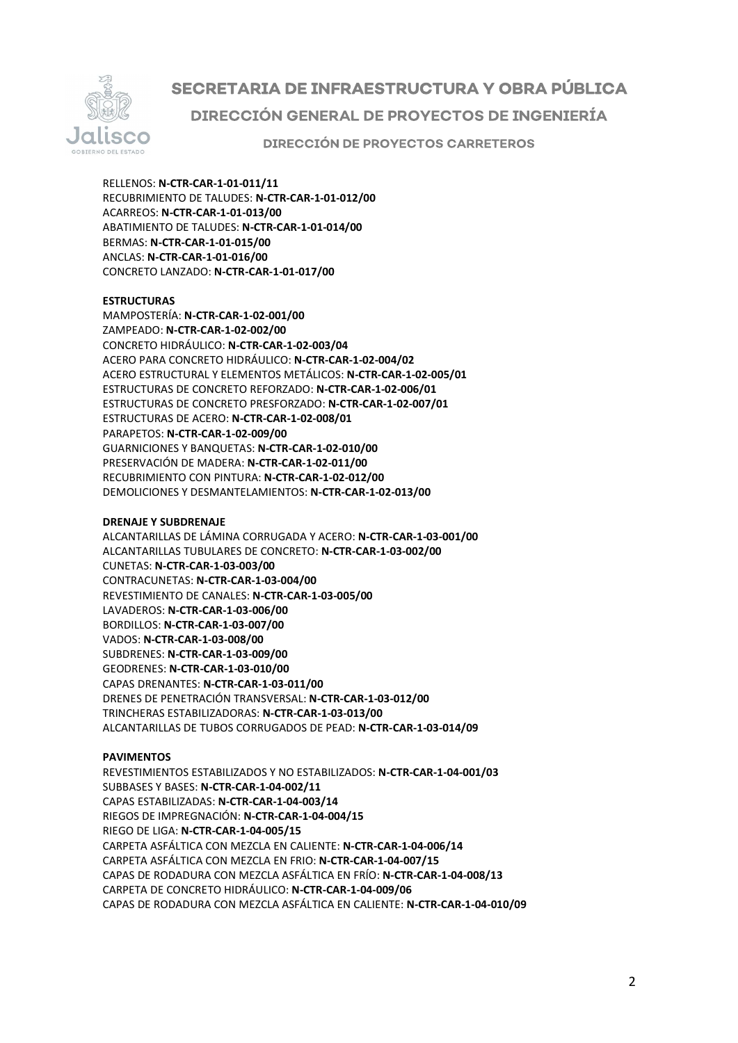

SECRETARIA DE INFRAESTRUCTURA Y OBRA PÚBLICA DIRECCIÓN GENERAL DE PROYECTOS DE INGENIERÍA

**DIRECCIÓN DE PROYECTOS CARRETEROS** 

RELLENOS: N-CTR-CAR-1-01-011/11<br>RECUBRIMIENTO DE TALUDES: N-CTR-CAR-1-01-012/00<br>ACARREOS: N-CTR-CAR-1-01-013/00<br>ABATIMIENTO DE TALUDES: N-CTR-CAR-1-01-014/00<br>BERMAS: N-CTR-CAR-1-01-015/00<br>ANCLAS: N-CTR-CAR-1-01-016/00<br>CONC

# **ESTRUCTURAS**

MAMPOSTERÍA: N-CTR-CAR-1-02-001/00<br>ZAMPEADO: N-CTR-CAR-1-02-002/00<br>CONCRETO HIDRÁULICO: N-CTR-CAR-1-02-003/04<br>ACERO PARA CONCRETO HIDRÁULICO: N-CTR-CAR-1-02-004/02<br>ACERO PARA CONCRETO HIDRÁULICO: N-CTR-CAR-1-02-004/02<br>ACER

### DRENAJE Y SUBDRENAJE

ALCANTARILLAS DE LÁMINA CORRUGADA Y ACERO: **N-CTR-CAR-1-03-001/00**<br>ALCANTARILLAS TUBULARES DE CONCRETO: **N-CTR-CAR-1-03-002/00**<br>CONTRACUNETAS TUBULARES DE CONCRETO: **N-CTR-CAR-1-03-002/00**<br>CONTRACUNETAS: **N-CTR-CAR-1-03-00** 

### PAVIMENTOS

REVESTIMIENTOS ESTABILIZADOS Y NO ESTABILIZADOS: N-CTR-CAR-1-04-001/03 SUBBASES Y BASES: N-CTR-CAR-1-04-002/11 CAPAS ESTABILIZADAS: N-CTR-CAR-1-04-003/14 RIEGOS DE IMPREGNACIÓN: N-CTR-CAR-1-04-004/15 RIEGO DE LIGA: N-CTR-CAR-1-04-005/15 CARPETA ASFÁLTICA CON MEZCLA EN CALIENTE: N-CTR-CAR-1-04-006/14 CARPETA ASFÁLTICA CON MEZCLA EN FRIO: N-CTR-CAR-1-04-007/15 CAPAS DE RODADURA CON MEZCLA ASFÁLTICA EN FRÍO: N-CTR-CAR-1-04-008/13 CARPETA DE CONCRETO HIDRÁULICO: N-CTR-CAR-1-04-009/06 CAPAS DE RODADURA CON MEZCLA ASFÁLTICA EN CALIENTE: N-CTR-CAR-1-04-010/09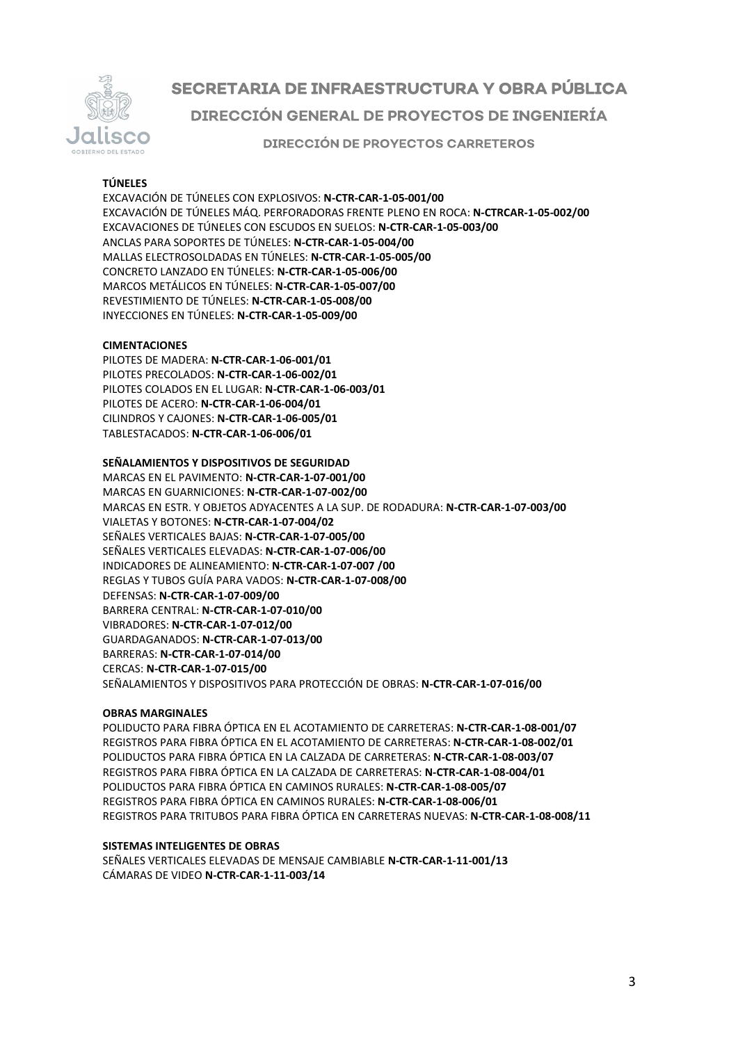

# SECRETARIA DE INFRAESTRUCTURA Y OBRA PÚBLICA DIRECCIÓN GENERAL DE PROYECTOS DE INGENIERÍA

**DIRECCIÓN DE PROYECTOS CARRETEROS** 

# TÚNELES

EXCAVACIÓN DE TÚNELES CON EXPLOSIVOS: N-CTR-CAR-1-05-001/00 EXCAVACIÓN DE TÚNELES MÁQ. PERFORADORAS FRENTE PLENO EN ROCA: N-CTRCAR-1-05-002/00 EXCAVACIONES DE TÚNELES CON ESCUDOS EN SUELOS: N-CTR-CAR-1-05-003/00 ANCLAS PARA SOPORTES DE TÚNELES: N-CTR-CAR-1-05-004/00 MALLAS ELECTROSOLDADAS EN TÚNELES: N-CTR-CAR-1-05-005/00 CONCRETO LANZADO EN TÚNELES: N-CTR-CAR-1-05-006/00 MARCOS METÁLICOS EN TÚNELES: N-CTR-CAR-1-05-007/00 REVESTIMIENTO DE TÚNELES: N-CTR-CAR-1-05-008/00 INYECCIONES EN TÚNELES: N-CTR-CAR-1-05-009/00

### CIMENTACIONES

PILOTES DE MADERA: N-CTR-CAR-1-06-001/01 PILOTES PRECOLADOS: N-CTR-CAR-1-06-002/01 PILOTES COLADOS EN EL LUGAR: N-CTR-CAR-1-06-003/01 PILOTES DE ACERO: N-CTR-CAR-1-06-004/01 CILINDROS Y CAJONES: N-CTR-CAR-1-06-005/01 TABLESTACADOS: N-CTR-CAR-1-06-006/01

SEÑALAMIENTOS Y DISPOSITIVOS DE SEGURIDAD MARCAS EN EL PAVIMENTO: N-CTR-CAR-1-07-001/00 MARCAS EN GUARNICIONES: N-CTR-CAR-1-07-002/00 MARCAS EN ESTR. Y OBJETOS ADYACENTES A LA SUP. DE RODADURA: N-CTR-CAR-1-07-003/00 VIALETAS Y BOTONES: N-CTR-CAR-1-07-004/02 SEÑALES VERTICALES BAJAS: N-CTR-CAR-1-07-005/00 SEÑALES VERTICALES ELEVADAS: N-CTR-CAR-1-07-006/00 INDICADORES DE ALINEAMIENTO: N-CTR-CAR-1-07-007 /00 REGLAS Y TUBOS GUÍA PARA VADOS: N-CTR-CAR-1-07-008/00 DEFENSAS: N-CTR-CAR-1-07-009/00 BARRERA CENTRAL: N-CTR-CAR-1-07-010/00 VIBRADORES: N-CTR-CAR-1-07-012/00 GUARDAGANADOS: N-CTR-CAR-1-07-013/00 BARRERAS: N-CTR-CAR-1-07-014/00 CERCAS: N-CTR-CAR-1-07-015/00 SEÑALAMIENTOS Y DISPOSITIVOS PARA PROTECCIÓN DE OBRAS: N-CTR-CAR-1-07-016/00

### OBRAS MARGINALES

POLIDUCTO PARA FIBRA ÓPTICA EN EL ACOTAMIENTO DE CARRETERAS: N-CTR-CAR-1-08-001/07 REGISTROS PARA FIBRA ÓPTICA EN EL ACOTAMIENTO DE CARRETERAS: N-CTR-CAR-1-08-002/01 POLIDUCTOS PARA FIBRA ÓPTICA EN LA CALZADA DE CARRETERAS: N-CTR-CAR-1-08-003/07 REGISTROS PARA FIBRA ÓPTICA EN LA CALZADA DE CARRETERAS: N-CTR-CAR-1-08-004/01 POLIDUCTOS PARA FIBRA ÓPTICA EN CAMINOS RURALES: N-CTR-CAR-1-08-005/07 REGISTROS PARA FIBRA ÓPTICA EN CAMINOS RURALES: N-CTR-CAR-1-08-006/01 REGISTROS PARA TRITUBOS PARA FIBRA ÓPTICA EN CARRETERAS NUEVAS: N-CTR-CAR-1-08-008/11

# SISTEMAS INTELIGENTES DE OBRAS

SEÑALES VERTICALES ELEVADAS DE MENSAJE CAMBIABLE N-CTR-CAR-1-11-001/13 CÁMARAS DE VIDEO N-CTR-CAR-1-11-003/14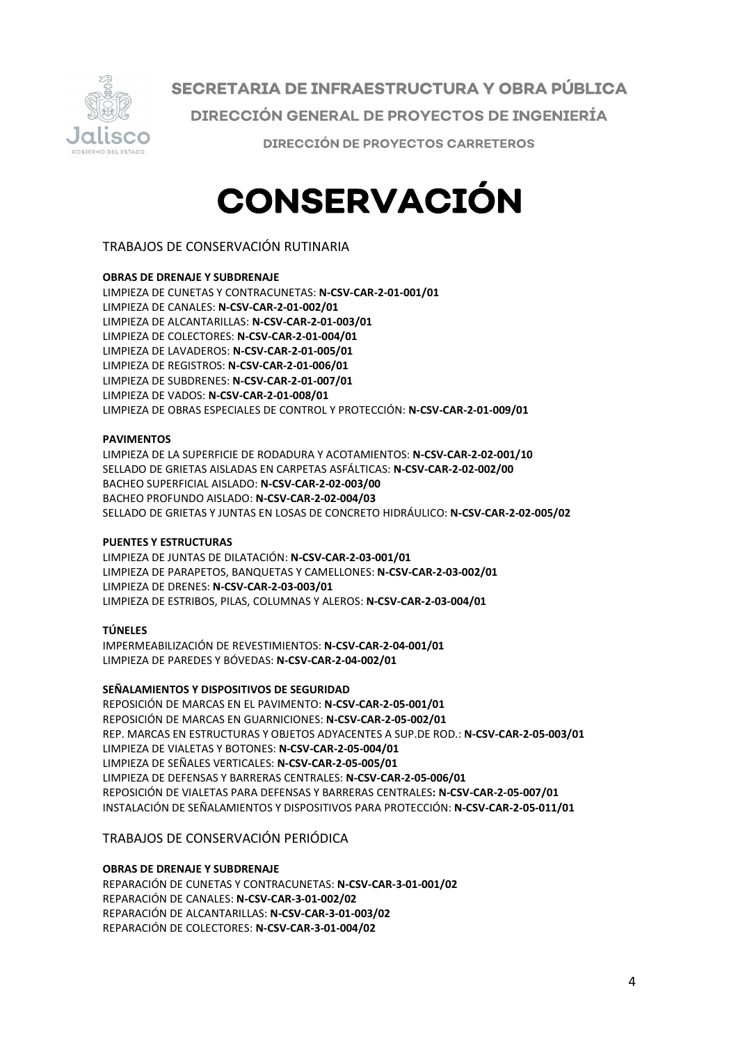

SECRETARIA DE INFRAESTRUCTURA Y OBRA PÚBLICA DIRECCIÓN GENERAL DE PROYECTOS DE INGENIERÍA **DIRECCIÓN DE PROYECTOS CARRETEROS** 

# CONSERVACIÓN

TRABAJOS DE CONSERVACIÓN RUTINARIA

# OBRAS DE DRENAJE Y SUBDRENAJE

LIMPIEZA DE CUNETAS Y CONTRACUNETAS: N-CSV-CAR-2-01-001/01 LIMPIEZA DE CANALES: N-CSV-CAR-2-01-002/01 LIMPIEZA DE ALCANTARILLAS: N-CSV-CAR-2-01-003/01 LIMPIEZA DE COLECTORES: N-CSV-CAR-2-01-004/01 LIMPIEZA DE LAVADEROS: N-CSV-CAR-2-01-005/01 LIMPIEZA DE REGISTROS: N-CSV-CAR-2-01-006/01 LIMPIEZA DE SUBDRENES: N-CSV-CAR-2-01-007/01 LIMPIEZA DE VADOS: N-CSV-CAR-2-01-008/01 LIMPIEZA DE OBRAS ESPECIALES DE CONTROL Y PROTECCIÓN: N-CSV-CAR-2-01-009/01

### PAVIMENTOS

LIMPIEZA DE LA SUPERFICIE DE RODADURA Y ACOTAMIENTOS: N-CSV-CAR-2-02-001/10 SELLADO DE GRIETAS AISLADAS EN CARPETAS ASFÁLTICAS: N-CSV-CAR-2-02-002/00 BACHEO SUPERFICIAL AISLADO: N-CSV-CAR-2-02-003/00 BACHEO PROFUNDO AISLADO: N-CSV-CAR-2-02-004/03 SELLADO DE GRIETAS Y JUNTAS EN LOSAS DE CONCRETO HIDRÁULICO: N-CSV-CAR-2-02-005/02

### PUENTES Y ESTRUCTURAS

LIMPIEZA DE JUNTAS DE DILATACIÓN: N-CSV-CAR-2-03-001/01 LIMPIEZA DE PARAPETOS, BANQUETAS Y CAMELLONES: N-CSV-CAR-2-03-002/01 LIMPIEZA DE DRENES: N-CSV-CAR-2-03-003/01 LIMPIEZA DE ESTRIBOS, PILAS, COLUMNAS Y ALEROS: N-CSV-CAR-2-03-004/01

### TÚNELES

IMPERMEABILIZACIÓN DE REVESTIMIENTOS: N-CSV-CAR-2-04-001/01 LIMPIEZA DE PAREDES Y BÓVEDAS: N-CSV-CAR-2-04-002/01

# SEÑALAMIENTOS Y DISPOSITIVOS DE SEGURIDAD

REPOSICIÓN DE MARCAS EN EL PAVIMENTO: N-CSV-CAR-2-05-001/01 REPOSICIÓN DE MARCAS EN GUARNICIONES: N-CSV-CAR-2-05-002/01 REP. MARCAS EN ESTRUCTURAS Y OBJETOS ADYACENTES A SUP.DE ROD.: N-CSV-CAR-2-05-003/01 LIMPIEZA DE VIALETAS Y BOTONES: N-CSV-CAR-2-05-004/01 LIMPIEZA DE SEÑALES VERTICALES: N-CSV-CAR-2-05-005/01 LIMPIEZA DE DEFENSAS Y BARRERAS CENTRALES: N-CSV-CAR-2-05-006/01 REPOSICIÓN DE VIALETAS PARA DEFENSAS Y BARRERAS CENTRALES: N-CSV-CAR-2-05-007/01 INSTALACIÓN DE SEÑALAMIENTOS Y DISPOSITIVOS PARA PROTECCIÓN: N-CSV-CAR-2-05-011/01

# TRABAJOS DE CONSERVACIÓN PERIÓDICA

# OBRAS DE DRENAJE Y SUBDRENAJE

REPARACIÓN DE CUNETAS Y CONTRACUNETAS: N-CSV-CAR-3-01-001/02 REPARACIÓN DE CANALES: N-CSV-CAR-3-01-002/02 REPARACIÓN DE ALCANTARILLAS: N-CSV-CAR-3-01-003/02 REPARACIÓN DE COLECTORES: N-CSV-CAR-3-01-004/02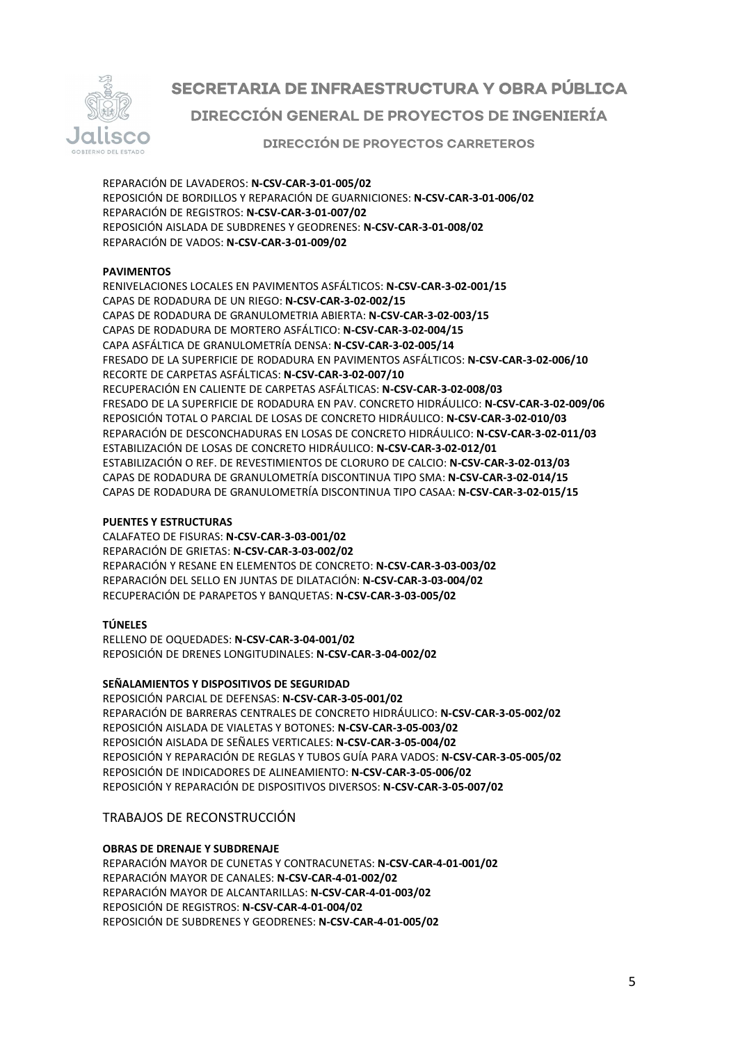

# SECRETARIA DE INFRAESTRUCTURA Y OBRA PÚBLICA **DIRECCIÓN GENERAL DE PROYECTOS DE INGENIERÍA**

**DIRECCIÓN DE PROYECTOS CARRETEROS** 

REPARACIÓN DE LAVADEROS: N-CSV-CAR-3-01-005/02 REPOSICIÓN DE BORDILLOS Y REPARACIÓN DE GUARNICIONES: N-CSV-CAR-3-01-006/02 REPARACIÓN DE REGISTROS: N-CSV-CAR-3-01-007/02 REPOSICIÓN AISLADA DE SUBDRENES Y GEODRENES: N-CSV-CAR-3-01-008/02 REPARACIÓN DE VADOS: N-CSV-CAR-3-01-009/02

# PAVIMENTOS

RENIVELACIONES LOCALES EN PAVIMENTOS ASFÁLTICOS: N-CSV-CAR-3-02-001/15 CAPAS DE RODADURA DE UN RIEGO: N-CSV-CAR-3-02-002/15 CAPAS DE RODADURA DE GRANULOMETRIA ABIERTA: N-CSV-CAR-3-02-003/15 CAPAS DE RODADURA DE MORTERO ASFÁLTICO: N-CSV-CAR-3-02-004/15 CAPA ASFÁLTICA DE GRANULOMETRÍA DENSA: N-CSV-CAR-3-02-005/14 FRESADO DE LA SUPERFICIE DE RODADURA EN PAVIMENTOS ASFÁLTICOS: N-CSV-CAR-3-02-006/10 RECORTE DE CARPETAS ASFÁLTICAS: N-CSV-CAR-3-02-007/10 RECUPERACIÓN EN CALIENTE DE CARPETAS ASFÁLTICAS: N-CSV-CAR-3-02-008/03 FRESADO DE LA SUPERFICIE DE RODADURA EN PAV. CONCRETO HIDRÁULICO: N-CSV-CAR-3-02-009/06 REPOSICIÓN TOTAL O PARCIAL DE LOSAS DE CONCRETO HIDRÁULICO: N-CSV-CAR-3-02-010/03 REPARACIÓN DE DESCONCHADURAS EN LOSAS DE CONCRETO HIDRÁULICO: N-CSV-CAR-3-02-011/03 ESTABILIZACIÓN DE LOSAS DE CONCRETO HIDRÁULICO: N-CSV-CAR-3-02-012/01 ESTABILIZACIÓN O REF. DE REVESTIMIENTOS DE CLORURO DE CALCIO: N-CSV-CAR-3-02-013/03 CAPAS DE RODADURA DE GRANULOMETRÍA DISCONTINUA TIPO SMA: N-CSV-CAR-3-02-014/15 CAPAS DE RODADURA DE GRANULOMETRÍA DISCONTINUA TIPO CASAA: N-CSV-CAR-3-02-015/15

### PUENTES Y ESTRUCTURAS

CALAFATEO DE FISURAS: N-CSV-CAR-3-03-001/02 REPARACIÓN DE GRIETAS: N-CSV-CAR-3-03-002/02 REPARACIÓN Y RESANE EN ELEMENTOS DE CONCRETO: N-CSV-CAR-3-03-003/02 REPARACIÓN DEL SELLO EN JUNTAS DE DILATACIÓN: N-CSV-CAR-3-03-004/02 RECUPERACIÓN DE PARAPETOS Y BANQUETAS: N-CSV-CAR-3-03-005/02

# TÚNELES

RELLENO DE OQUEDADES: N-CSV-CAR-3-04-001/02 REPOSICIÓN DE DRENES LONGITUDINALES: N-CSV-CAR-3-04-002/02

# SEÑALAMIENTOS Y DISPOSITIVOS DE SEGURIDAD

REPOSICIÓN PARCIAL DE DEFENSAS: N-CSV-CAR-3-05-001/02 REPARACIÓN DE BARRERAS CENTRALES DE CONCRETO HIDRÁULICO: N-CSV-CAR-3-05-002/02 REPOSICIÓN AISLADA DE VIALETAS Y BOTONES: N-CSV-CAR-3-05-003/02 REPOSICIÓN AISLADA DE SEÑALES VERTICALES: N-CSV-CAR-3-05-004/02 REPOSICIÓN Y REPARACIÓN DE REGLAS Y TUBOS GUÍA PARA VADOS: N-CSV-CAR-3-05-005/02 REPOSICIÓN DE INDICADORES DE ALINEAMIENTO: N-CSV-CAR-3-05-006/02 REPOSICIÓN Y REPARACIÓN DE DISPOSITIVOS DIVERSOS: N-CSV-CAR-3-05-007/02

# TRABAJOS DE RECONSTRUCCIÓN

# OBRAS DE DRENAJE Y SUBDRENAJE

REPARACIÓN MAYOR DE CUNETAS Y CONTRACUNETAS: N-CSV-CAR-4-01-001/02 REPARACIÓN MAYOR DE CANALES: N-CSV-CAR-4-01-002/02 REPARACIÓN MAYOR DE ALCANTARILLAS: N-CSV-CAR-4-01-003/02 REPOSICIÓN DE REGISTROS: N-CSV-CAR-4-01-004/02 REPOSICIÓN DE SUBDRENES Y GEODRENES: N-CSV-CAR-4-01-005/02